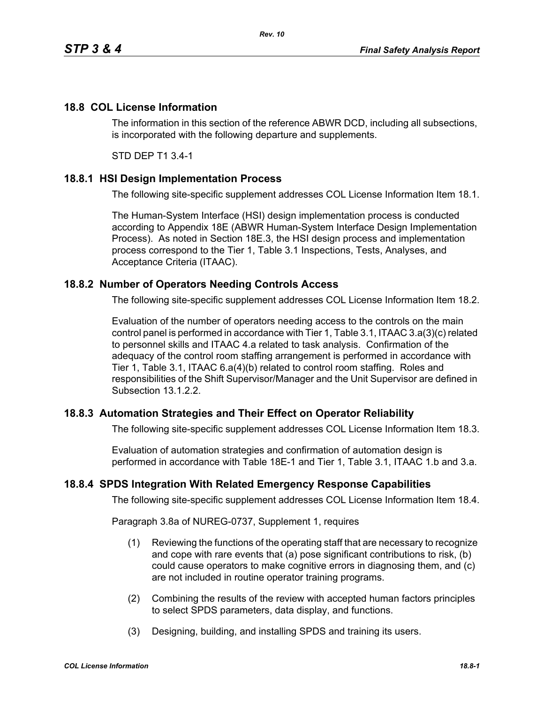## **18.8 COL License Information**

The information in this section of the reference ABWR DCD, including all subsections, is incorporated with the following departure and supplements.

STD DEP T1 3.4-1

## **18.8.1 HSI Design Implementation Process**

The following site-specific supplement addresses COL License Information Item 18.1.

The Human-System Interface (HSI) design implementation process is conducted according to Appendix 18E (ABWR Human-System Interface Design Implementation Process). As noted in Section 18E.3, the HSI design process and implementation process correspond to the Tier 1, Table 3.1 Inspections, Tests, Analyses, and Acceptance Criteria (ITAAC).

## **18.8.2 Number of Operators Needing Controls Access**

The following site-specific supplement addresses COL License Information Item 18.2.

Evaluation of the number of operators needing access to the controls on the main control panel is performed in accordance with Tier 1, Table 3.1, ITAAC 3.a(3)(c) related to personnel skills and ITAAC 4.a related to task analysis. Confirmation of the adequacy of the control room staffing arrangement is performed in accordance with Tier 1, Table 3.1, ITAAC 6.a(4)(b) related to control room staffing. Roles and responsibilities of the Shift Supervisor/Manager and the Unit Supervisor are defined in Subsection 13.1.2.2.

## **18.8.3 Automation Strategies and Their Effect on Operator Reliability**

The following site-specific supplement addresses COL License Information Item 18.3.

Evaluation of automation strategies and confirmation of automation design is performed in accordance with Table 18E-1 and Tier 1, Table 3.1, ITAAC 1.b and 3.a.

#### **18.8.4 SPDS Integration With Related Emergency Response Capabilities**

The following site-specific supplement addresses COL License Information Item 18.4.

Paragraph 3.8a of NUREG-0737, Supplement 1, requires

- (1) Reviewing the functions of the operating staff that are necessary to recognize and cope with rare events that (a) pose significant contributions to risk, (b) could cause operators to make cognitive errors in diagnosing them, and (c) are not included in routine operator training programs.
- (2) Combining the results of the review with accepted human factors principles to select SPDS parameters, data display, and functions.
- (3) Designing, building, and installing SPDS and training its users.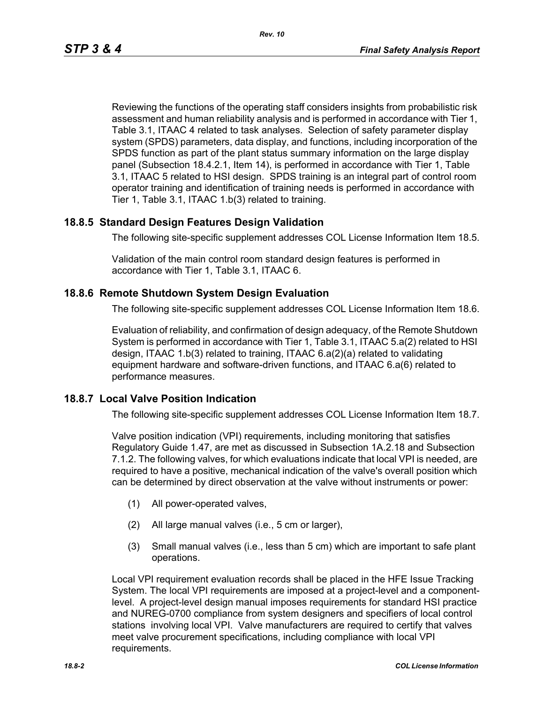Reviewing the functions of the operating staff considers insights from probabilistic risk assessment and human reliability analysis and is performed in accordance with Tier 1, Table 3.1, ITAAC 4 related to task analyses. Selection of safety parameter display system (SPDS) parameters, data display, and functions, including incorporation of the SPDS function as part of the plant status summary information on the large display panel (Subsection 18.4.2.1, Item 14), is performed in accordance with Tier 1, Table 3.1, ITAAC 5 related to HSI design. SPDS training is an integral part of control room operator training and identification of training needs is performed in accordance with Tier 1, Table 3.1, ITAAC 1.b(3) related to training.

## **18.8.5 Standard Design Features Design Validation**

The following site-specific supplement addresses COL License Information Item 18.5.

Validation of the main control room standard design features is performed in accordance with Tier 1, Table 3.1, ITAAC 6.

#### **18.8.6 Remote Shutdown System Design Evaluation**

The following site-specific supplement addresses COL License Information Item 18.6.

Evaluation of reliability, and confirmation of design adequacy, of the Remote Shutdown System is performed in accordance with Tier 1, Table 3.1, ITAAC 5.a(2) related to HSI design, ITAAC 1.b(3) related to training, ITAAC 6.a(2)(a) related to validating equipment hardware and software-driven functions, and ITAAC 6.a(6) related to performance measures.

#### **18.8.7 Local Valve Position Indication**

The following site-specific supplement addresses COL License Information Item 18.7.

Valve position indication (VPI) requirements, including monitoring that satisfies Regulatory Guide 1.47, are met as discussed in Subsection 1A.2.18 and Subsection 7.1.2. The following valves, for which evaluations indicate that local VPI is needed, are required to have a positive, mechanical indication of the valve's overall position which can be determined by direct observation at the valve without instruments or power:

- (1) All power-operated valves,
- (2) All large manual valves (i.e., 5 cm or larger),
- (3) Small manual valves (i.e., less than 5 cm) which are important to safe plant operations.

Local VPI requirement evaluation records shall be placed in the HFE Issue Tracking System. The local VPI requirements are imposed at a project-level and a componentlevel. A project-level design manual imposes requirements for standard HSI practice and NUREG-0700 compliance from system designers and specifiers of local control stations involving local VPI. Valve manufacturers are required to certify that valves meet valve procurement specifications, including compliance with local VPI requirements.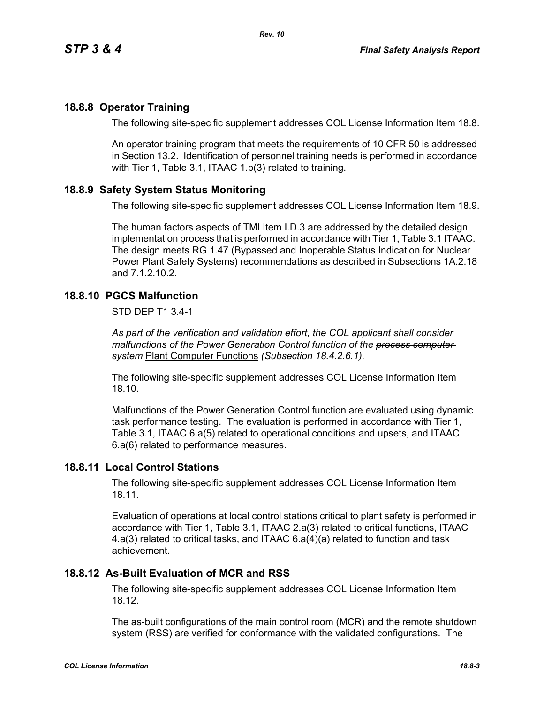## **18.8.8 Operator Training**

The following site-specific supplement addresses COL License Information Item 18.8.

An operator training program that meets the requirements of 10 CFR 50 is addressed in Section 13.2. Identification of personnel training needs is performed in accordance with Tier 1, Table 3.1, ITAAC 1.b(3) related to training.

## **18.8.9 Safety System Status Monitoring**

The following site-specific supplement addresses COL License Information Item 18.9.

The human factors aspects of TMI Item I.D.3 are addressed by the detailed design implementation process that is performed in accordance with Tier 1, Table 3.1 ITAAC. The design meets RG 1.47 (Bypassed and Inoperable Status Indication for Nuclear Power Plant Safety Systems) recommendations as described in Subsections 1A.2.18 and 7.1.2.10.2.

# **18.8.10 PGCS Malfunction**

STD DEP T1 3.4-1

*As part of the verification and validation effort, the COL applicant shall consider malfunctions of the Power Generation Control function of the process computer system* Plant Computer Functions *(Subsection 18.4.2.6.1).*

The following site-specific supplement addresses COL License Information Item 18.10.

Malfunctions of the Power Generation Control function are evaluated using dynamic task performance testing. The evaluation is performed in accordance with Tier 1, Table 3.1, ITAAC 6.a(5) related to operational conditions and upsets, and ITAAC 6.a(6) related to performance measures.

#### **18.8.11 Local Control Stations**

The following site-specific supplement addresses COL License Information Item 18.11.

Evaluation of operations at local control stations critical to plant safety is performed in accordance with Tier 1, Table 3.1, ITAAC 2.a(3) related to critical functions, ITAAC 4.a(3) related to critical tasks, and ITAAC 6.a(4)(a) related to function and task achievement.

#### **18.8.12 As-Built Evaluation of MCR and RSS**

The following site-specific supplement addresses COL License Information Item 18.12.

The as-built configurations of the main control room (MCR) and the remote shutdown system (RSS) are verified for conformance with the validated configurations. The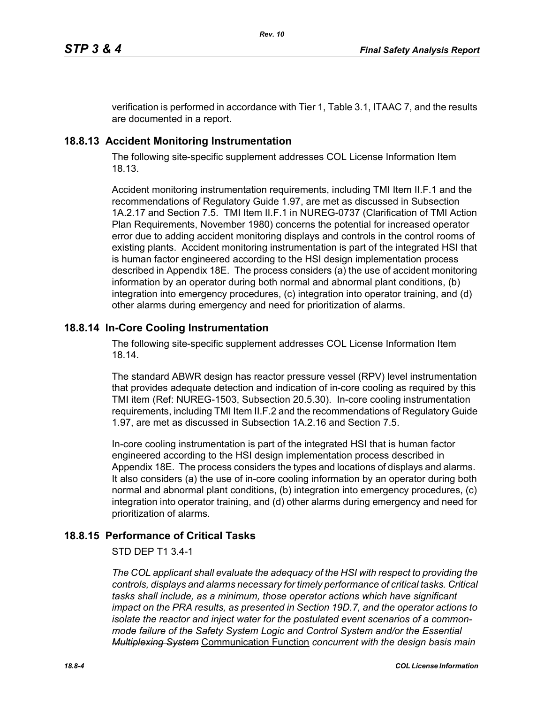verification is performed in accordance with Tier 1, Table 3.1, ITAAC 7, and the results are documented in a report.

# **18.8.13 Accident Monitoring Instrumentation**

The following site-specific supplement addresses COL License Information Item 18.13.

Accident monitoring instrumentation requirements, including TMI Item II.F.1 and the recommendations of Regulatory Guide 1.97, are met as discussed in Subsection 1A.2.17 and Section 7.5. TMI Item II.F.1 in NUREG-0737 (Clarification of TMI Action Plan Requirements, November 1980) concerns the potential for increased operator error due to adding accident monitoring displays and controls in the control rooms of existing plants. Accident monitoring instrumentation is part of the integrated HSI that is human factor engineered according to the HSI design implementation process described in Appendix 18E. The process considers (a) the use of accident monitoring information by an operator during both normal and abnormal plant conditions, (b) integration into emergency procedures, (c) integration into operator training, and (d) other alarms during emergency and need for prioritization of alarms.

# **18.8.14 In-Core Cooling Instrumentation**

The following site-specific supplement addresses COL License Information Item 18.14.

The standard ABWR design has reactor pressure vessel (RPV) level instrumentation that provides adequate detection and indication of in-core cooling as required by this TMI item (Ref: NUREG-1503, Subsection 20.5.30). In-core cooling instrumentation requirements, including TMI Item II.F.2 and the recommendations of Regulatory Guide 1.97, are met as discussed in Subsection 1A.2.16 and Section 7.5.

In-core cooling instrumentation is part of the integrated HSI that is human factor engineered according to the HSI design implementation process described in Appendix 18E. The process considers the types and locations of displays and alarms. It also considers (a) the use of in-core cooling information by an operator during both normal and abnormal plant conditions, (b) integration into emergency procedures, (c) integration into operator training, and (d) other alarms during emergency and need for prioritization of alarms.

# **18.8.15 Performance of Critical Tasks**

#### STD DEP T1 3.4-1

*The COL applicant shall evaluate the adequacy of the HSI with respect to providing the controls, displays and alarms necessary for timely performance of critical tasks. Critical tasks shall include, as a minimum, those operator actions which have significant impact on the PRA results, as presented in Section 19D.7, and the operator actions to isolate the reactor and inject water for the postulated event scenarios of a commonmode failure of the Safety System Logic and Control System and/or the Essential Multiplexing System* Communication Function *concurrent with the design basis main*